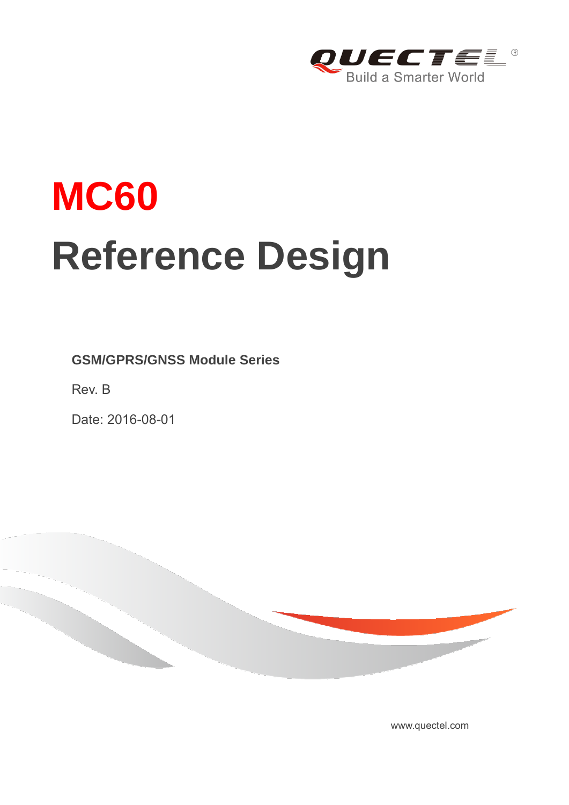

# **MC60 Reference Design**

**GSM/GPRS/GNSS Module Series**

Rev. B

Date: 2016-08-01



<www.quectel.com>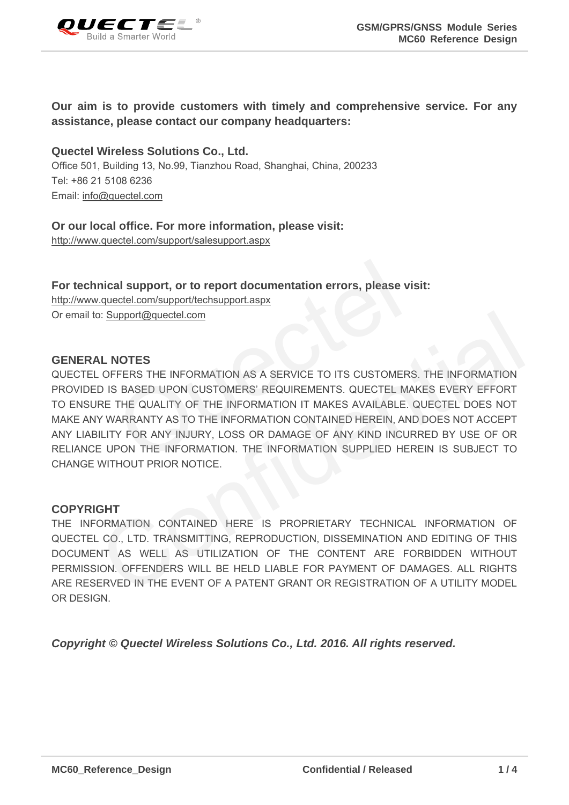

### **Our aim is to provide customers with timely and comprehensive service. For any assistance, please contact our company headquarters:**

**Quectel Wireless Solutions Co., Ltd.**  Office 501, Building 13, No.99, Tianzhou Road, Shanghai, China, 200233 Tel: +86 21 5108 6236 Email: [info@quectel.com](mailto:info@quectel.com)

#### **Or our local office. For more information, please visit:**

<http://www.quectel.com/support/salesupport.aspx>

**For technical support, or to report documentation errors, please visit:**  http://www.quectel.com/support/techsupport.aspx Or email to: Support@quectel.com

#### **GENERAL NOTES**

QUECTEL OFFERS THE INFORMATION AS A SERVICE TO ITS CUSTOMERS. THE INFORMATION PROVIDED IS BASED UPON CUSTOMERS' REQUIREMENTS. QUECTEL MAKES EVERY EFFORT TO ENSURE THE QUALITY OF THE INFORMATION IT MAKES AVAILABLE. QUECTEL DOES NOT MAKE ANY WARRANTY AS TO THE INFORMATION CONTAINED HEREIN, AND DOES NOT ACCEPT ANY LIABILITY FOR ANY INJURY, LOSS OR DAMAGE OF ANY KIND INCURRED BY USE OF OR RELIANCE UPON THE INFORMATION. THE INFORMATION SUPPLIED HEREIN IS SUBJECT TO CHANGE WITHOUT PRIOR NOTICE. al support, or to report documentation errors, please visit:<br>
ectel.com/support/techsupport.aspx<br>
upport@quectel.com<br>
NOTES<br>
FERS THE INFORMATION AS A SERVICE TO ITS CUSTOMERS. T<br>
BASED UPON CUSTOMERS' REQUIREMENTS. QUECTE I: Support@quectel.com<br>
Corpers The Information as a service to its customers. The Information<br>
D IS BASED UPON Customers' Requirements. Quectel Makes every effort<br>
RE THE QUALITY OF THE INFORMATION IT MAKES AVAILABLE. QUE

### **COPYRIGHT**

THE INFORMATION CONTAINED HERE IS PROPRIETARY TECHNICAL INFORMATION OF QUECTEL CO., LTD. TRANSMITTING, REPRODUCTION, DISSEMINATION AND EDITING OF THIS DOCUMENT AS WELL AS UTILIZATION OF THE CONTENT ARE FORBIDDEN WITHOUT PERMISSION. OFFENDERS WILL BE HELD LIABLE FOR PAYMENT OF DAMAGES. ALL RIGHTS ARE RESERVED IN THE EVENT OF A PATENT GRANT OR REGISTRATION OF A UTILITY MODEL OR DESIGN.

*Copyright © Quectel Wireless Solutions Co., Ltd. 2016. All rights reserved.*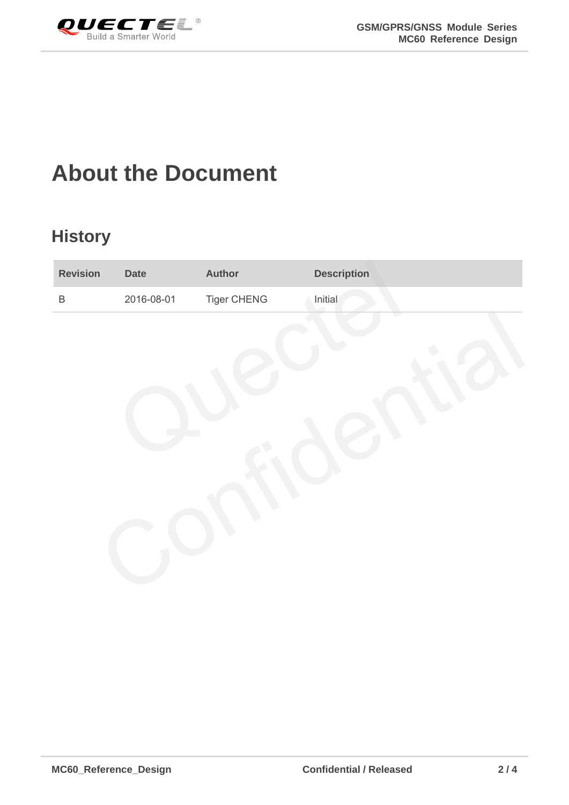<span id="page-2-0"></span>

### **About the Document**

### **History**

| <b>Revision</b> | <b>Date</b> | <b>Author</b>      | <b>Description</b> |
|-----------------|-------------|--------------------|--------------------|
| $\mathsf B$     | 2016-08-01  | <b>Tiger CHENG</b> | Initial            |
|                 |             |                    |                    |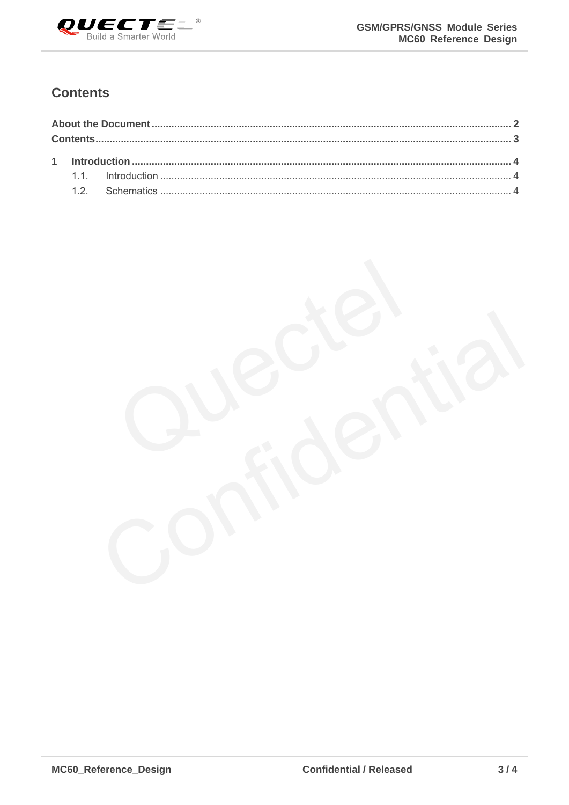

### <span id="page-3-0"></span>**Contents**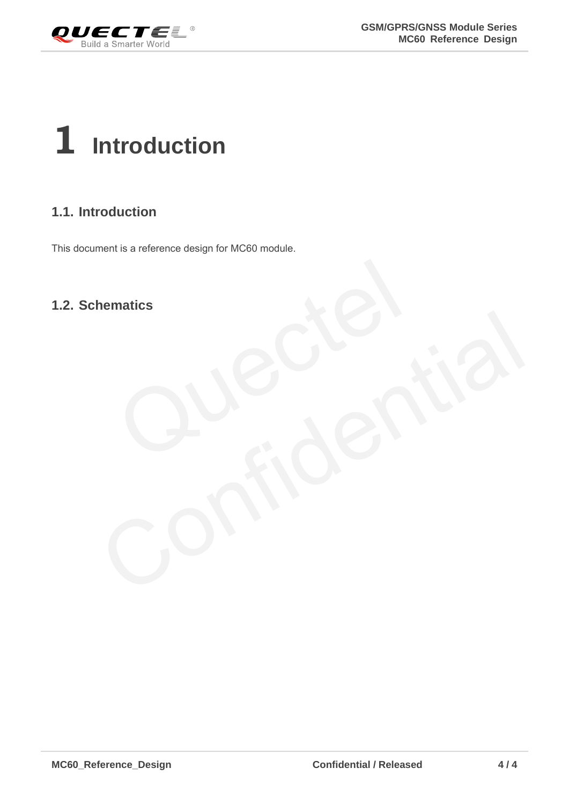<span id="page-4-0"></span>

## **1 Introduction**

### <span id="page-4-1"></span>**1.1. Introduction**

This document is a reference design for MC60 module.

### <span id="page-4-2"></span>**1.2. Schematics**

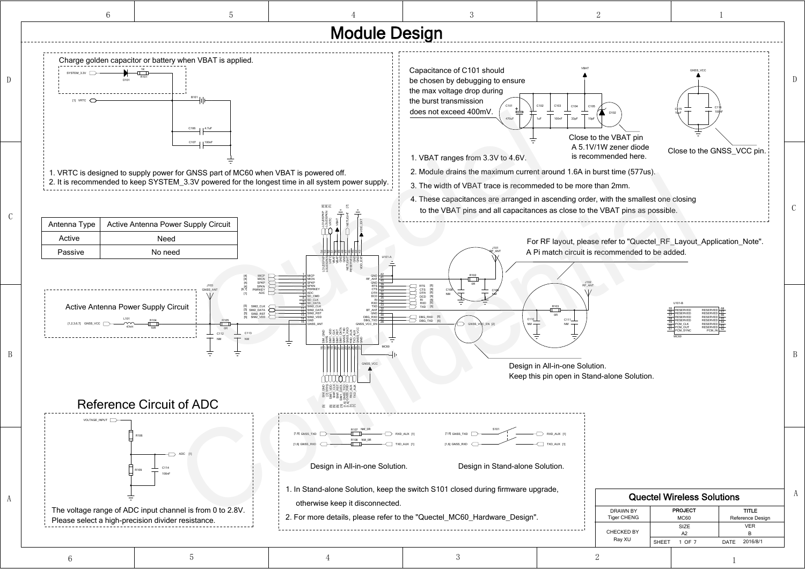A

D

C

B

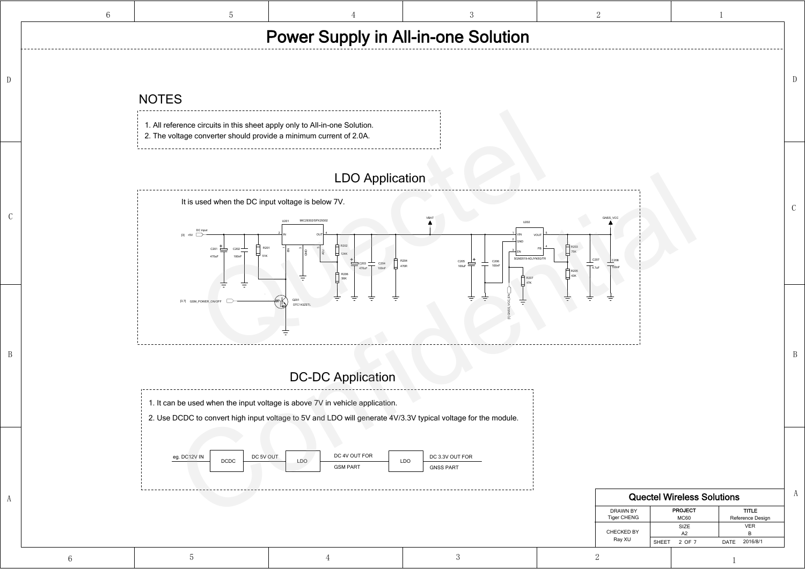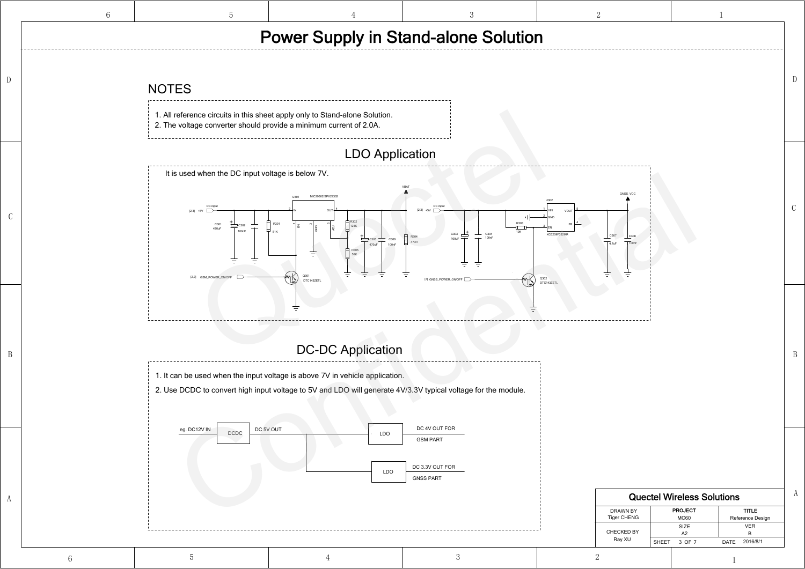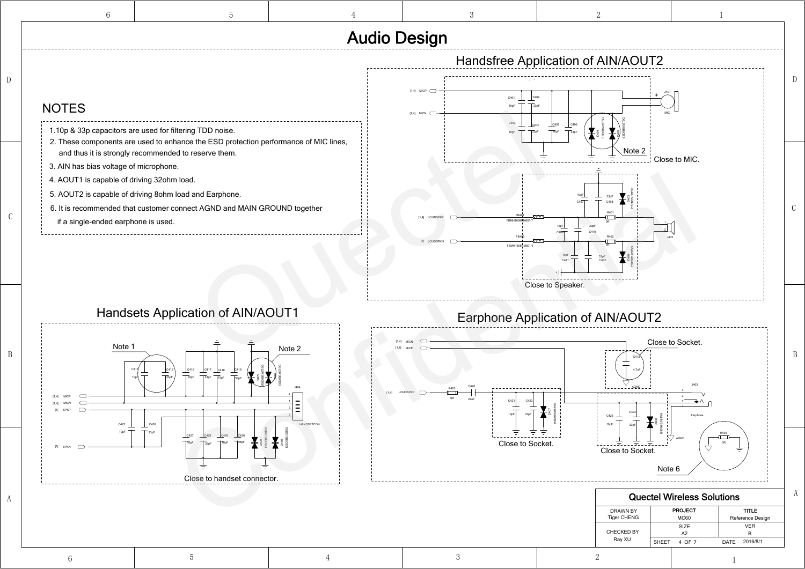D



|                                                                                                                                                                                                                                                                                                                                                                                                                                                                               | <b>Audio Design</b>                                                                                                                                   |
|-------------------------------------------------------------------------------------------------------------------------------------------------------------------------------------------------------------------------------------------------------------------------------------------------------------------------------------------------------------------------------------------------------------------------------------------------------------------------------|-------------------------------------------------------------------------------------------------------------------------------------------------------|
|                                                                                                                                                                                                                                                                                                                                                                                                                                                                               | Handsfree Application of AIN/AOUT2                                                                                                                    |
| <b>NOTES</b>                                                                                                                                                                                                                                                                                                                                                                                                                                                                  | $[1,4]$ MICP<br>C401<br>$[1,4]$ MICN $\qquadsubset$                                                                                                   |
| 1.10p & 33p capacitors are used for filtering TDD noise.<br>2. These components are used to enhance the ESD protection performance of MIC lines,<br>and thus it is strongly recommended to reserve them.<br>3. AIN has bias voltage of microphone.<br>4. AOUT1 is capable of driving 32ohm load.<br>5. AOUT2 is capable of driving 8ohm load and Earphone.<br>6. It is recommended that customer connect AGND and MAIN GROUND together<br>if a single-ended earphone is used. | C403<br>C405<br>C406<br>Note $2$<br>Close to MIC.<br>10 <sub>pF</sub><br>$[1,4]$ LOUDSI<br>[1] LOUDSPKN<br>FRMH1608HM601<br>C412<br>Close to Speaker. |
| <b>Handsets Application of AIN/AOUT1</b>                                                                                                                                                                                                                                                                                                                                                                                                                                      | <b>Earphone Application of AIN/AOUT2</b>                                                                                                              |
| Note 1<br>Note 2<br>C416<br>C415<br>C417<br>C418<br>33pF<br>10 <sub>pF</sub><br>33pF<br>10 <sub>pF</sub>                                                                                                                                                                                                                                                                                                                                                                      | Close to Socket.<br>4.7uF<br>2211<br>10 <sub>p</sub> F<br>C423                                                                                        |
| C425<br>C426<br><b>HANDSETCOM</b><br>33 <sub>pF</sub><br>C429<br>C428<br>10pF<br>10pF<br>33pF<br>[1] SPKN<br>Close to handset connector.                                                                                                                                                                                                                                                                                                                                      | Close to Socket.<br><u> III. EIIEIEIII</u><br>Close to Socket.<br>Note 6                                                                              |
|                                                                                                                                                                                                                                                                                                                                                                                                                                                                               | <b>Quectel Wireless Solut</b>                                                                                                                         |
|                                                                                                                                                                                                                                                                                                                                                                                                                                                                               | <b>PROJECT</b><br><b>DRAWN BY</b><br><b>Tiger CHENG</b><br><b>MC60</b>                                                                                |
|                                                                                                                                                                                                                                                                                                                                                                                                                                                                               | SIZE<br><b>CHECKED BY</b><br>A2<br>$P_{2V}$ YI                                                                                                        |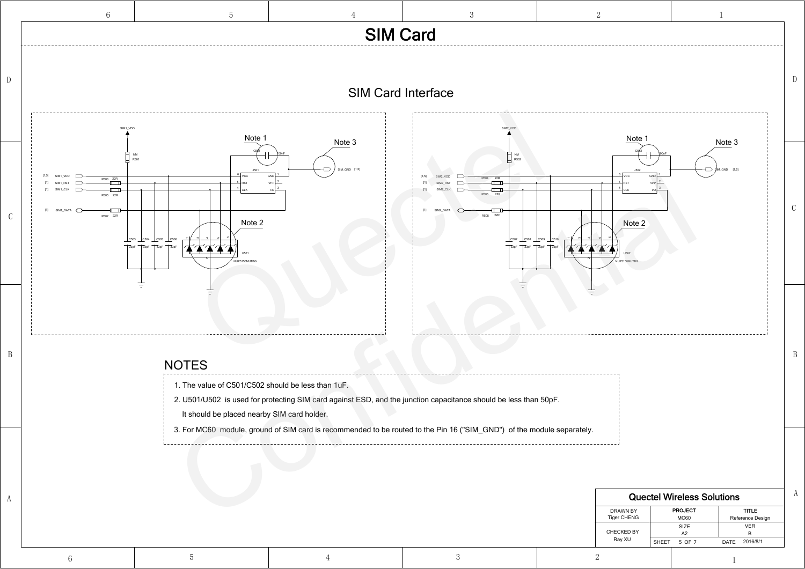

| <b>Quectel Wireless Solutions</b> |                 |                  |  |  |
|-----------------------------------|-----------------|------------------|--|--|
| DRAWN BY                          | <b>PROJECT</b>  | <b>TITLE</b>     |  |  |
| <b>Tiger CHENG</b>                | <b>MC60</b>     | Reference Design |  |  |
|                                   | <b>SIZE</b>     | <b>VER</b>       |  |  |
| <b>CHECKED BY</b>                 | A2              | в                |  |  |
| Ray XU                            | SHEET<br>5 OF 7 | DATE 2016/8/1    |  |  |
|                                   |                 |                  |  |  |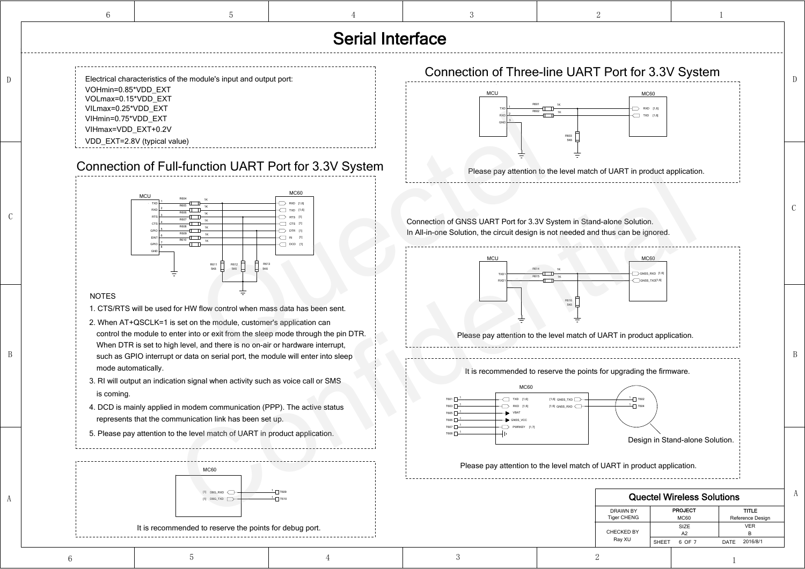B

Ray XU

CHECKED BY

A

6

6

D

C

B

OF SHEET 76 DATE

2016/8/1

A2

### Connection of Full-function UART Port for 3.3V System

- 1. CTS/RTS will be used for HW flow control when mass data has been sent.
- 2. When AT+QSCLK=1 is set on the module, customer's application can control the module to enter into or exit from the sleep mode through the pin DTR. When DTR is set to high level, and there is no on-air or hardware interrupt, such as GPIO interrupt or data on serial port, the module will enter into sleep mode automatically.
- 3. RI will output an indication signal when activity such as voice call or SMS is coming.
- 4. DCD is mainly applied in modem communication (PPP). The active status represents that the communication link has been set up.
- 5. Please pay attention to the level match of UART in product application.

VOHmin=0.85\*VDD\_EXT VOLmax=0.15\*VDD\_EXT VILmax=0.25\*VDD\_EXT VIHmin=0.75\*VDD\_EXT VDD\_EXT=2.8V (typical value) Electrical characteristics of the module's input and output port: VIHmax=VDD\_EXT+0.2V

### NOTES



# Serial Interface





### It is recommended to reserve the points for debug port.

 $^{1}$ — $\Box$  т609  $^{1}$   $\Box$  Т610